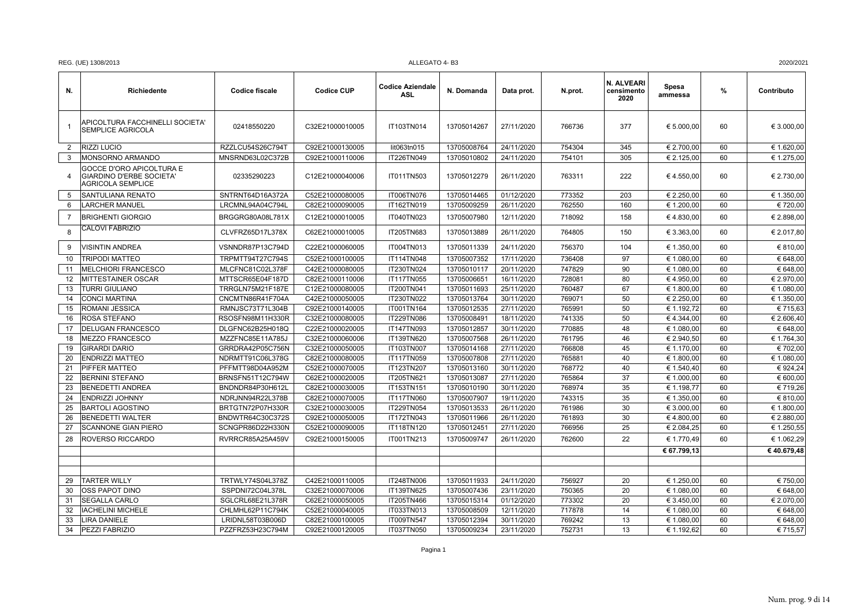| REG. (UE) 1308/2013<br>ALLEGATO 4-B3 | 2020/2021 |
|--------------------------------------|-----------|
|--------------------------------------|-----------|

| N.             | Richiedente                                                                      | <b>Codice fiscale</b>                | <b>Codice CUP</b>                  | <b>Codice Aziendale</b><br>ASL | N. Domanda                 | Data prot.               | N.prot.          | N. ALVEARI<br>censimento<br>2020 | Spesa<br>ammessa         | $\%$     | Contributo           |
|----------------|----------------------------------------------------------------------------------|--------------------------------------|------------------------------------|--------------------------------|----------------------------|--------------------------|------------------|----------------------------------|--------------------------|----------|----------------------|
| -1             | APICOLTURA FACCHINELLI SOCIETA'<br><b>SEMPLICE AGRICOLA</b>                      | 02418550220                          | C32E21000010005                    | IT103TN014                     | 13705014267                | 27/11/2020               | 766736           | 377                              | € 5.000,00               | 60       | € 3.000,00           |
| 2              | <b>RIZZI LUCIO</b>                                                               | RZZLCU54S26C794T                     | C92E21000130005                    | lit063tn015                    | 13705008764                | 24/11/2020               | 754304           | 345                              | € 2.700,00               | 60       | € 1.620,00           |
| 3              | MONSORNO ARMANDO                                                                 | MNSRND63L02C372B                     | C92E21000110006                    | IT226TN049                     | 13705010802                | 24/11/2020               | 754101           | 305                              | € 2.125,00               | 60       | € 1.275,00           |
| 4              | GOCCE D'ORO APICOLTURA E<br>GIARDINO D'ERBE SOCIETA'<br><b>AGRICOLA SEMPLICE</b> | 02335290223                          | C12E21000040006                    | IT011TN503                     | 13705012279                | 26/11/2020               | 763311           | 222                              | €4.550,00                | 60       | € 2.730,00           |
| 5              | SANTULIANA RENATO                                                                | SNTRNT64D16A372A                     | C52E21000080005                    | IT006TN076                     | 13705014465                | 01/12/2020               | 773352           | 203                              | € 2.250,00               | 60       | € 1.350,00           |
| 6              | <b>LARCHER MANUEL</b>                                                            | LRCMNL94A04C794L                     | C82E21000090005                    | IT162TN019                     | 13705009259                | 26/11/2020               | 762550           | 160                              | € 1.200,00               | 60       | € 720,00             |
| $\overline{7}$ | <b>BRIGHENTI GIORGIO</b>                                                         | BRGGRG80A08L781X                     | C12E21000010005                    | IT040TN023                     | 13705007980                | 12/11/2020               | 718092           | 158                              | €4.830,00                | 60       | € 2.898,00           |
| 8              | CALOVI FABRIZIO                                                                  | CLVFRZ65D17L378X                     | C62E21000010005                    | IT205TN683                     | 13705013889                | 26/11/2020               | 764805           | 150                              | € 3.363,00               | 60       | € 2.017,80           |
| 9              | <b>VISINTIN ANDREA</b>                                                           | VSNNDR87P13C794D                     | C22E21000060005                    | IT004TN013                     | 13705011339                | 24/11/2020               | 756370           | 104                              | € 1.350,00               | 60       | €810,00              |
| 10             | <b>TRIPODI MATTEO</b>                                                            | TRPMTT94T27C794S                     | C52E21000100005                    | IT114TN048                     | 13705007352                | 17/11/2020               | 736408           | 97                               | € 1.080,00               | 60       | € 648,00             |
| 11             | <b>MELCHIORI FRANCESCO</b>                                                       | MLCFNC81C02L378F                     | C42E21000080005                    | IT230TN024                     | 13705010117                | 20/11/2020               | 747829           | 90                               | € 1.080,00               | 60       | € 648,00             |
| 12             | <b>MITTESTAINER OSCAR</b>                                                        | MTTSCR65E04F187D                     | C82E21000110006                    | IT117TN055                     | 13705006651                | 16/11/2020               | 728081           | 80                               | €4.950,00                | 60       | € 2.970,00           |
| 13             | <b>TURRI GIULIANO</b>                                                            | TRRGLN75M21F187E                     | C12E21000080005                    | IT200TN041                     | 13705011693                | 25/11/2020               | 760487           | 67                               | € 1.800,00               | 60       | € 1.080,00           |
| 14             | <b>CONCI MARTINA</b>                                                             | CNCMTN86R41F704A                     | C42E21000050005                    | IT230TN022                     | 13705013764                | 30/11/2020               | 769071           | 50                               | € 2.250,00               | 60       | € 1.350,00           |
| 15             | ROMANI JESSICA                                                                   | RMNJSC73T71L304B                     | C92E21000140005                    | IT001TN164                     | 13705012535                | 27/11/2020               | 765991           | 50                               | € 1.192,72               | 60       | €715,63              |
| 16             | <b>ROSA STEFANO</b>                                                              | RSOSFN98M11H330R                     | C32E21000080005                    | IT229TN086                     | 13705008491                | 18/11/2020               | 741335           | 50                               | €4.344,00                | 60       | € 2.606,40           |
| 17             | <b>DELUGAN FRANCESCO</b>                                                         | DLGFNC62B25H018Q                     | C22E21000020005                    | IT147TN093                     | 13705012857                | 30/11/2020               | 770885           | 48                               | € 1.080,00               | 60       | € 648,00             |
| 18             | <b>MEZZO FRANCESCO</b>                                                           | MZZFNC85E11A785J                     | C32E21000060006                    | IT139TN620                     | 13705007568                | 26/11/2020               | 761795           | 46                               | € 2.940,50               | 60       | € 1.764,30           |
| 19             | <b>GIRARDI DARIO</b>                                                             | GRRDRA42P05C756N                     | C32E21000050005                    | IT103TN007                     | 13705014168                | 27/11/2020               | 766808           | 45                               | € 1.170,00               | 60       | € 702,00             |
| 20             | <b>ENDRIZZI MATTEO</b>                                                           | NDRMTT91C06L378G                     | C82E21000080005                    | IT117TN059                     | 13705007808                | 27/11/2020               | 765881           | 40                               | € 1.800,00               | 60       | € 1.080,00           |
| 21             | <b>PIFFER MATTEO</b>                                                             | PFFMTT98D04A952M                     | C52E21000070005                    | IT123TN207                     | 13705013160                | 30/11/2020               | 768772           | 40                               | € 1.540,40               | 60       | € 924,24             |
| 22             | <b>BERNINI STEFANO</b>                                                           | BRNSFN51T12C794W                     | C62E21000020005                    | IT205TN621                     | 13705013087                | 27/11/2020               | 765864           | 37                               | € 1.000,00               | 60       | € 600,00             |
| 23             | <b>BENEDETTI ANDREA</b>                                                          | BNDNDR84P30H612L                     | C82E21000030005                    | IT153TN151                     | 13705010190                | 30/11/2020               | 768974           | 35                               | € 1.198,77               | 60       | €719,26              |
| 24             | <b>ENDRIZZI JOHNNY</b>                                                           | NDRJNN94R22L378B                     | C82E21000070005                    | IT117TN060                     | 13705007907                | 19/11/2020               | 743315           | 35                               | € 1.350,00               | 60       | € 810,00             |
| 25             | <b>BARTOLI AGOSTINO</b>                                                          | BRTGTN72P07H330R                     | C32E21000030005                    | IT229TN054                     | 13705013533                | 26/11/2020               | 761986           | 30                               | € 3.000,00               | 60       | € 1.800,00           |
| 26             | <b>BENEDETTI WALTER</b>                                                          | BNDWTR64C30C372S                     | C92E21000050005                    | IT172TN043                     | 13705011966                | 26/11/2020               | 761893           | 30                               | €4.800,00                | 60       | € 2.880,00           |
| 27             | <b>SCANNONE GIAN PIERO</b>                                                       | SCNGPR86D22H330N                     | C52E21000090005                    | IT118TN120                     | 13705012451                | 27/11/2020               | 766956           | 25                               | € 2.084,25               | 60       | € 1.250,55           |
| 28             | <b>ROVERSO RICCARDO</b>                                                          | RVRRCR85A25A459V                     | C92E21000150005                    | IT001TN213                     | 13705009747                | 26/11/2020               | 762600           | 22                               | € 1.770,49               | 60       | € 1.062,29           |
|                |                                                                                  |                                      |                                    |                                |                            |                          |                  |                                  | € 67.799,13              |          | €40.679,48           |
|                |                                                                                  |                                      |                                    |                                |                            |                          |                  |                                  |                          |          |                      |
|                |                                                                                  |                                      |                                    |                                |                            |                          |                  |                                  |                          |          |                      |
| 29<br>30       | <b>TARTER WILLY</b><br><b>OSS PAPOT DINO</b>                                     | TRTWLY74S04L378Z                     | C42E21000110005                    | IT248TN006                     | 13705011933                | 24/11/2020               | 756927<br>750365 | 20<br>20                         | € 1.250,00               | 60<br>60 | € 750,00<br>€ 648,00 |
|                |                                                                                  | SSPDNI72C04L378L                     | C32E21000070006                    | IT139TN625                     | 13705007436                | 23/11/2020               |                  |                                  | € 1.080,00               |          |                      |
| 31             | <b>SEGALLA CARLO</b>                                                             | SGLCRL68E21L378R                     | C62E21000050005                    | IT205TN466                     | 13705015314                | 01/12/2020               | 773302           | 20                               | € 3.450,00               | 60       | € 2.070,00           |
| 32             | <b>IACHELINI MICHELE</b>                                                         | CHLMHL62P11C794K                     | C52E21000040005                    | IT033TN013                     | 13705008509                | 12/11/2020               | 717878           | 14<br>13                         | € 1.080,00               | 60       | € 648,00             |
| 33<br>34       | <b>LIRA DANIELE</b><br>PEZZI FABRIZIO                                            | LRIDNL58T03B006D<br>PZZFRZ53H23C794M | C82E21000100005<br>C92E21000120005 | IT009TN547<br>IT037TN050       | 13705012394<br>13705009234 | 30/11/2020<br>23/11/2020 | 769242<br>752731 | 13                               | € 1.080,00<br>€ 1.192,62 | 60<br>60 | € 648,00<br>€ 715,57 |
|                |                                                                                  |                                      |                                    |                                |                            |                          |                  |                                  |                          |          |                      |